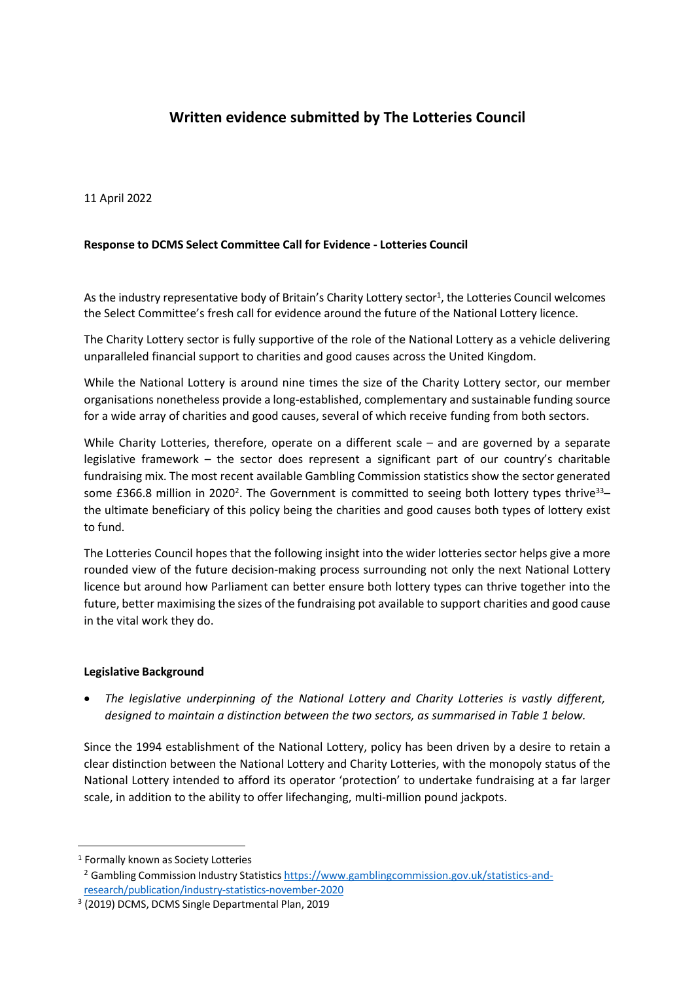# **Written evidence submitted by The Lotteries Council**

11 April 2022

# **Response to DCMS Select Committee Call for Evidence - Lotteries Council**

As the industry representative body of Britain's Charity Lottery sector<sup>1</sup>, the Lotteries Council welcomes the Select Committee's fresh call for evidence around the future of the National Lottery licence.

The Charity Lottery sector is fully supportive of the role of the National Lottery as a vehicle delivering unparalleled financial support to charities and good causes across the United Kingdom.

While the National Lottery is around nine times the size of the Charity Lottery sector, our member organisations nonetheless provide a long-established, complementary and sustainable funding source for a wide array of charities and good causes, several of which receive funding from both sectors.

While Charity Lotteries, therefore, operate on a different scale – and are governed by a separate legislative framework – the sector does represent a significant part of our country's charitable fundraising mix. The most recent available Gambling Commission statistics show the sector generated some £366.8 million in 2020<sup>2</sup>. The Government is committed to seeing both lottery types thrive<sup>33</sup>the ultimate beneficiary of this policy being the charities and good causes both types of lottery exist to fund.

The Lotteries Council hopes that the following insight into the wider lotteries sector helps give a more rounded view of the future decision-making process surrounding not only the next National Lottery licence but around how Parliament can better ensure both lottery types can thrive together into the future, better maximising the sizes of the fundraising pot available to support charities and good cause in the vital work they do.

#### **Legislative Background**

 *The legislative underpinning of the National Lottery and Charity Lotteries is vastly different, designed to maintain a distinction between the two sectors, as summarised in Table 1 below.*

Since the 1994 establishment of the National Lottery, policy has been driven by a desire to retain a clear distinction between the National Lottery and Charity Lotteries, with the monopoly status of the National Lottery intended to afford its operator 'protection' to undertake fundraising at a far larger scale, in addition to the ability to offer lifechanging, multi-million pound jackpots.

<sup>1</sup> Formally known as Society Lotteries

<sup>&</sup>lt;sup>2</sup> Gambling Commission Industry Statistics [https://www.gamblingcommission.gov.uk/statistics-and](https://www.gamblingcommission.gov.uk/statistics-and-research/publication/industry-statistics-november-2020)researc[h/](https://www.gamblingcommission.gov.uk/statistics-and-research/publication/industry-statistics-november-2020)publication[/](https://www.gamblingcommission.gov.uk/statistics-and-research/publication/industry-statistics-november-2020)industry[-s](https://www.gamblingcommission.gov.uk/statistics-and-research/publication/industry-statistics-november-2020)tatistic[s-](https://www.gamblingcommission.gov.uk/statistics-and-research/publication/industry-statistics-november-2020)novembe[r-](https://www.gamblingcommission.gov.uk/statistics-and-research/publication/industry-statistics-november-2020)2020

<sup>3</sup> (2019) DCMS, DCMS Single Departmental Plan, 2019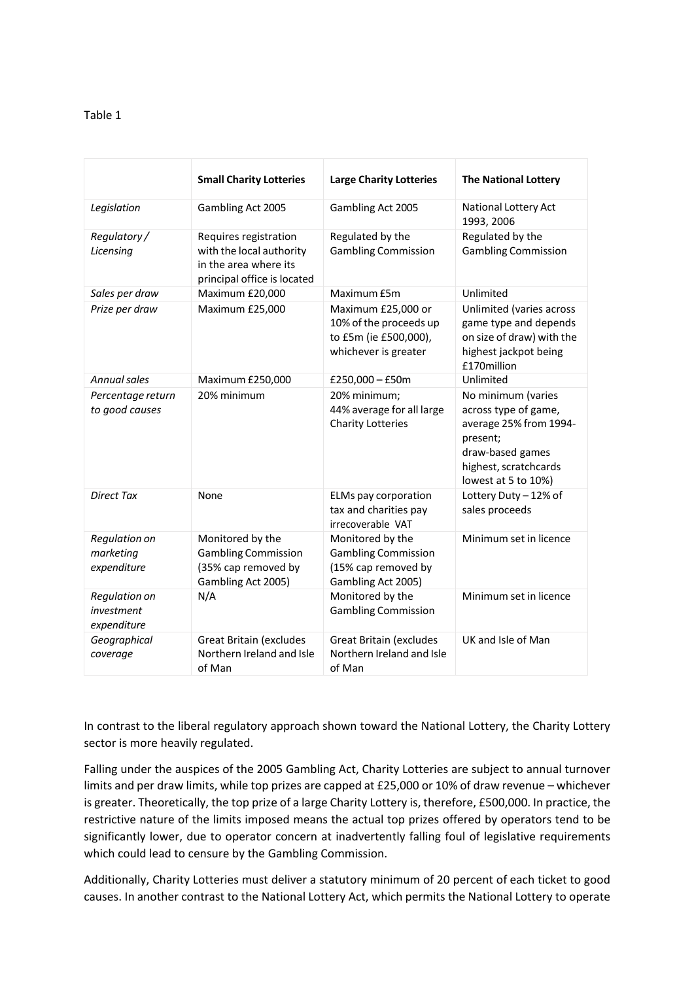## Table 1

|                                            | <b>Small Charity Lotteries</b>                                                                            | <b>Large Charity Lotteries</b>                                                                | <b>The National Lottery</b>                                                                                                                          |
|--------------------------------------------|-----------------------------------------------------------------------------------------------------------|-----------------------------------------------------------------------------------------------|------------------------------------------------------------------------------------------------------------------------------------------------------|
| Legislation                                | Gambling Act 2005                                                                                         | Gambling Act 2005                                                                             | National Lottery Act<br>1993, 2006                                                                                                                   |
| Regulatory/<br>Licensing                   | Requires registration<br>with the local authority<br>in the area where its<br>principal office is located | Regulated by the<br><b>Gambling Commission</b>                                                | Regulated by the<br><b>Gambling Commission</b>                                                                                                       |
| Sales per draw                             | Maximum £20,000                                                                                           | Maximum £5m                                                                                   | Unlimited                                                                                                                                            |
| Prize per draw                             | Maximum £25,000                                                                                           | Maximum £25,000 or<br>10% of the proceeds up<br>to £5m (ie £500,000),<br>whichever is greater | Unlimited (varies across<br>game type and depends<br>on size of draw) with the<br>highest jackpot being<br>£170million                               |
| Annual sales                               | Maximum £250,000                                                                                          | £250,000 $-$ £50m                                                                             | Unlimited                                                                                                                                            |
| Percentage return<br>to good causes        | 20% minimum                                                                                               | 20% minimum;<br>44% average for all large<br><b>Charity Lotteries</b>                         | No minimum (varies<br>across type of game,<br>average 25% from 1994-<br>present;<br>draw-based games<br>highest, scratchcards<br>lowest at 5 to 10%) |
| <b>Direct Tax</b>                          | None                                                                                                      | ELMs pay corporation<br>tax and charities pay<br>irrecoverable VAT                            | Lottery Duty - 12% of<br>sales proceeds                                                                                                              |
| Regulation on<br>marketing<br>expenditure  | Monitored by the<br><b>Gambling Commission</b><br>(35% cap removed by<br>Gambling Act 2005)               | Monitored by the<br><b>Gambling Commission</b><br>(15% cap removed by<br>Gambling Act 2005)   | Minimum set in licence                                                                                                                               |
| Regulation on<br>investment<br>expenditure | N/A                                                                                                       | Monitored by the<br><b>Gambling Commission</b>                                                | Minimum set in licence                                                                                                                               |
| Geographical<br>coverage                   | <b>Great Britain (excludes</b><br>Northern Ireland and Isle<br>of Man                                     | <b>Great Britain (excludes</b><br>Northern Ireland and Isle<br>of Man                         | UK and Isle of Man                                                                                                                                   |

In contrast to the liberal regulatory approach shown toward the National Lottery, the Charity Lottery sector is more heavily regulated.

Falling under the auspices of the 2005 Gambling Act, Charity Lotteries are subject to annual turnover limits and per draw limits, while top prizes are capped at £25,000 or 10% of draw revenue – whichever is greater. Theoretically, the top prize of a large Charity Lottery is, therefore, £500,000. In practice, the restrictive nature of the limits imposed means the actual top prizes offered by operators tend to be significantly lower, due to operator concern at inadvertently falling foul of legislative requirements which could lead to censure by the Gambling Commission.

Additionally, Charity Lotteries must deliver a statutory minimum of 20 percent of each ticket to good causes. In another contrast to the National Lottery Act, which permits the National Lottery to operate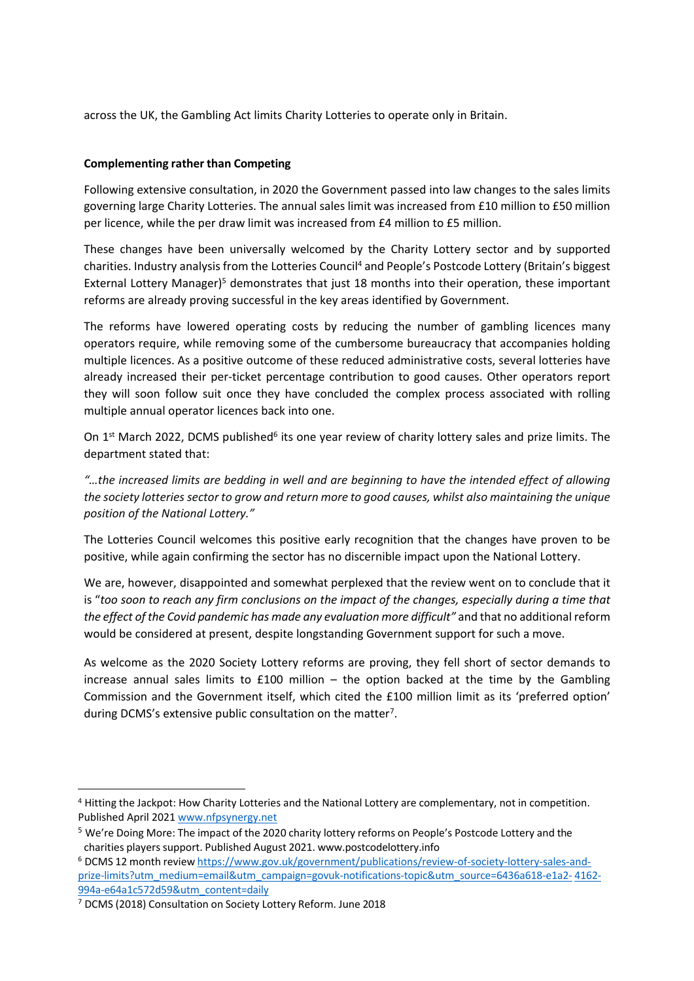across the UK, the Gambling Act limits Charity Lotteries to operate only in Britain.

# **Complementing rather than Competing**

Following extensive consultation, in 2020 the Government passed into law changes to the sales limits governing large Charity Lotteries. The annual sales limit was increased from £10 million to £50 million per licence, while the per draw limit was increased from £4 million to £5 million.

These changes have been universally welcomed by the Charity Lottery sector and by supported charities. Industry analysis from the Lotteries Council<sup>4</sup> and People's Postcode Lottery (Britain's biggest External Lottery Manager)<sup>5</sup> demonstrates that just 18 months into their operation, these important reforms are already proving successful in the key areas identified by Government.

The reforms have lowered operating costs by reducing the number of gambling licences many operators require, while removing some of the cumbersome bureaucracy that accompanies holding multiple licences. As a positive outcome of these reduced administrative costs, several lotteries have already increased their per-ticket percentage contribution to good causes. Other operators report they will soon follow suit once they have concluded the complex process associated with rolling multiple annual operator licences back into one.

On 1<sup>st</sup> March 2022, DCMS published<sup>6</sup> its one year review of charity lottery sales and prize limits. The department stated that:

*"…the increased limits are bedding in well and are beginning to have the intended effect of allowing the society lotteries sector to grow and return more to good causes, whilst also maintaining the unique position of the National Lottery."*

The Lotteries Council welcomes this positive early recognition that the changes have proven to be positive, while again confirming the sector has no discernible impact upon the National Lottery.

We are, however, disappointed and somewhat perplexed that the review went on to conclude that it is "too soon to reach any firm conclusions on the impact of the changes, especially during a time that *the effect of the Covid pandemic has made any evaluation more difficult"* and that no additional reform would be considered at present, despite longstanding Government support for such a move.

As welcome as the 2020 Society Lottery reforms are proving, they fell short of sector demands to increase annual sales limits to  $£100$  million – the option backed at the time by the Gambling Commission and the Government itself, which cited the £100 million limit as its 'preferred option' during DCMS's extensive public consultation on the matter<sup>7</sup>.

<sup>4</sup> Hitting the Jackpot: How Charity Lotteries and the National Lottery are complementary, not in competition. Published April 2021 [www.nfpsynergy.net](http://www.nfpsynergy.net/)

<sup>5</sup> We're Doing More: The impact of the 2020 charity lottery reforms on People's Postcode Lottery and the charities players support. Published August 2021. www[.](http://www.postcodelottery.info/)postcodelotter[y.i](http://www.postcodelottery.info/)nfo

<sup>6</sup> DCMS 12 month review [https://www.gov.uk/government/publications/review-of-society-lottery-sales-and](https://www.gov.uk/government/publications/review-of-society-lottery-sales-and-prize-limits?utm_medium=email&utm_campaign=govuk-notifications-topic&utm_source=6436a618-e1a2-4162-994a-e64a1c572d59&utm_content=daily)priz[e-](https://www.gov.uk/government/publications/review-of-society-lottery-sales-and-prize-limits?utm_medium=email&utm_campaign=govuk-notifications-topic&utm_source=6436a618-e1a2-4162-994a-e64a1c572d59&utm_content=daily)limit[s?](https://www.gov.uk/government/publications/review-of-society-lottery-sales-and-prize-limits?utm_medium=email&utm_campaign=govuk-notifications-topic&utm_source=6436a618-e1a2-4162-994a-e64a1c572d59&utm_content=daily)utm[\\_m](https://www.gov.uk/government/publications/review-of-society-lottery-sales-and-prize-limits?utm_medium=email&utm_campaign=govuk-notifications-topic&utm_source=6436a618-e1a2-4162-994a-e64a1c572d59&utm_content=daily)edium[=e](https://www.gov.uk/government/publications/review-of-society-lottery-sales-and-prize-limits?utm_medium=email&utm_campaign=govuk-notifications-topic&utm_source=6436a618-e1a2-4162-994a-e64a1c572d59&utm_content=daily)mail[&](https://www.gov.uk/government/publications/review-of-society-lottery-sales-and-prize-limits?utm_medium=email&utm_campaign=govuk-notifications-topic&utm_source=6436a618-e1a2-4162-994a-e64a1c572d59&utm_content=daily)utm[\\_](https://www.gov.uk/government/publications/review-of-society-lottery-sales-and-prize-limits?utm_medium=email&utm_campaign=govuk-notifications-topic&utm_source=6436a618-e1a2-4162-994a-e64a1c572d59&utm_content=daily)campaig[n=g](https://www.gov.uk/government/publications/review-of-society-lottery-sales-and-prize-limits?utm_medium=email&utm_campaign=govuk-notifications-topic&utm_source=6436a618-e1a2-4162-994a-e64a1c572d59&utm_content=daily)ovuk[-n](https://www.gov.uk/government/publications/review-of-society-lottery-sales-and-prize-limits?utm_medium=email&utm_campaign=govuk-notifications-topic&utm_source=6436a618-e1a2-4162-994a-e64a1c572d59&utm_content=daily)otifications[-t](https://www.gov.uk/government/publications/review-of-society-lottery-sales-and-prize-limits?utm_medium=email&utm_campaign=govuk-notifications-topic&utm_source=6436a618-e1a2-4162-994a-e64a1c572d59&utm_content=daily)opic&utm[\\_s](https://www.gov.uk/government/publications/review-of-society-lottery-sales-and-prize-limits?utm_medium=email&utm_campaign=govuk-notifications-topic&utm_source=6436a618-e1a2-4162-994a-e64a1c572d59&utm_content=daily)ourc[e=](https://www.gov.uk/government/publications/review-of-society-lottery-sales-and-prize-limits?utm_medium=email&utm_campaign=govuk-notifications-topic&utm_source=6436a618-e1a2-4162-994a-e64a1c572d59&utm_content=daily)643[6a6](https://www.gov.uk/government/publications/review-of-society-lottery-sales-and-prize-limits?utm_medium=email&utm_campaign=govuk-notifications-topic&utm_source=6436a618-e1a2-4162-994a-e64a1c572d59&utm_content=daily)18[-e1a2-](https://www.gov.uk/government/publications/review-of-society-lottery-sales-and-prize-limits?utm_medium=email&utm_campaign=govuk-notifications-topic&utm_source=6436a618-e1a2-4162-994a-e64a1c572d59&utm_content=daily) 416[2-](https://www.gov.uk/government/publications/review-of-society-lottery-sales-and-prize-limits?utm_medium=email&utm_campaign=govuk-notifications-topic&utm_source=6436a618-e1a2-4162-994a-e64a1c572d59&utm_content=daily) 994[a-e](https://www.gov.uk/government/publications/review-of-society-lottery-sales-and-prize-limits?utm_medium=email&utm_campaign=govuk-notifications-topic&utm_source=6436a618-e1a2-4162-994a-e64a1c572d59&utm_content=daily)6[4a1c](https://www.gov.uk/government/publications/review-of-society-lottery-sales-and-prize-limits?utm_medium=email&utm_campaign=govuk-notifications-topic&utm_source=6436a618-e1a2-4162-994a-e64a1c572d59&utm_content=daily)57[2d](https://www.gov.uk/government/publications/review-of-society-lottery-sales-and-prize-limits?utm_medium=email&utm_campaign=govuk-notifications-topic&utm_source=6436a618-e1a2-4162-994a-e64a1c572d59&utm_content=daily)5[9&u](https://www.gov.uk/government/publications/review-of-society-lottery-sales-and-prize-limits?utm_medium=email&utm_campaign=govuk-notifications-topic&utm_source=6436a618-e1a2-4162-994a-e64a1c572d59&utm_content=daily)t[m\\_](https://www.gov.uk/government/publications/review-of-society-lottery-sales-and-prize-limits?utm_medium=email&utm_campaign=govuk-notifications-topic&utm_source=6436a618-e1a2-4162-994a-e64a1c572d59&utm_content=daily)conten[t=d](https://www.gov.uk/government/publications/review-of-society-lottery-sales-and-prize-limits?utm_medium=email&utm_campaign=govuk-notifications-topic&utm_source=6436a618-e1a2-4162-994a-e64a1c572d59&utm_content=daily)aily

<sup>7</sup> DCMS (2018) Consultation on Society Lottery Reform. June 2018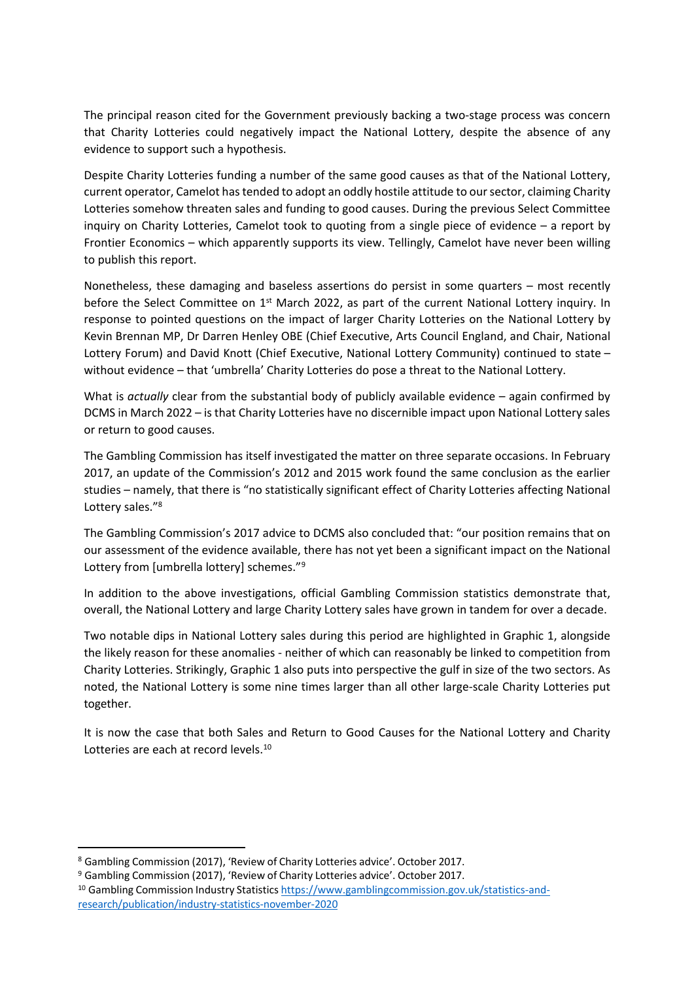The principal reason cited for the Government previously backing a two-stage process was concern that Charity Lotteries could negatively impact the National Lottery, despite the absence of any evidence to support such a hypothesis.

Despite Charity Lotteries funding a number of the same good causes as that of the National Lottery, current operator, Camelot hastended to adopt an oddly hostile attitude to oursector, claiming Charity Lotteries somehow threaten sales and funding to good causes. During the previous Select Committee inquiry on Charity Lotteries, Camelot took to quoting from a single piece of evidence – a report by Frontier Economics – which apparently supports its view. Tellingly, Camelot have never been willing to publish this report.

Nonetheless, these damaging and baseless assertions do persist in some quarters – most recently before the Select Committee on 1<sup>st</sup> March 2022, as part of the current National Lottery inquiry. In response to pointed questions on the impact of larger Charity Lotteries on the National Lottery by Kevin Brennan MP, Dr Darren Henley OBE (Chief Executive, Arts Council England, and Chair, National Lottery Forum) and David Knott (Chief Executive, National Lottery Community) continued to state – without evidence – that 'umbrella' Charity Lotteries do pose a threat to the National Lottery.

What is *actually* clear from the substantial body of publicly available evidence – again confirmed by DCMS in March 2022 – is that Charity Lotteries have no discernible impact upon National Lottery sales or return to good causes.

The Gambling Commission has itself investigated the matter on three separate occasions. In February 2017, an update of the Commission's 2012 and 2015 work found the same conclusion as the earlier studies – namely, that there is "no statistically significant effect of Charity Lotteries affecting National Lottery sales."<sup>8</sup>

The Gambling Commission's 2017 advice to DCMS also concluded that: "our position remains that on our assessment of the evidence available, there has not yet been a significant impact on the National Lottery from [umbrella lottery] schemes."<sup>9</sup>

In addition to the above investigations, official Gambling Commission statistics demonstrate that, overall, the National Lottery and large Charity Lottery sales have grown in tandem for over a decade.

Two notable dips in National Lottery sales during this period are highlighted in Graphic 1, alongside the likely reason for these anomalies - neither of which can reasonably be linked to competition from Charity Lotteries. Strikingly, Graphic 1 also puts into perspective the gulf in size of the two sectors. As noted, the National Lottery is some nine times larger than all other large-scale Charity Lotteries put together.

It is now the case that both Sales and Return to Good Causes for the National Lottery and Charity Lotteries are each at record levels.<sup>10</sup>

<sup>8</sup> Gambling Commission (2017), 'Review of Charity Lotteries advice'. October 2017.

<sup>9</sup> Gambling Commission (2017), 'Review of Charity Lotteries advice'. October 2017.

<sup>&</sup>lt;sup>10</sup> Gambling Commission Industry Statistics [https://www.gamblingcommission.gov.uk/statistics-and](https://www.gamblingcommission.gov.uk/statistics-and-research/publication/industry-statistics-november-2020)researc[h/](https://www.gamblingcommission.gov.uk/statistics-and-research/publication/industry-statistics-november-2020)publication[/](https://www.gamblingcommission.gov.uk/statistics-and-research/publication/industry-statistics-november-2020)industry[-s](https://www.gamblingcommission.gov.uk/statistics-and-research/publication/industry-statistics-november-2020)tatistic[s-](https://www.gamblingcommission.gov.uk/statistics-and-research/publication/industry-statistics-november-2020)novembe[r-](https://www.gamblingcommission.gov.uk/statistics-and-research/publication/industry-statistics-november-2020)2020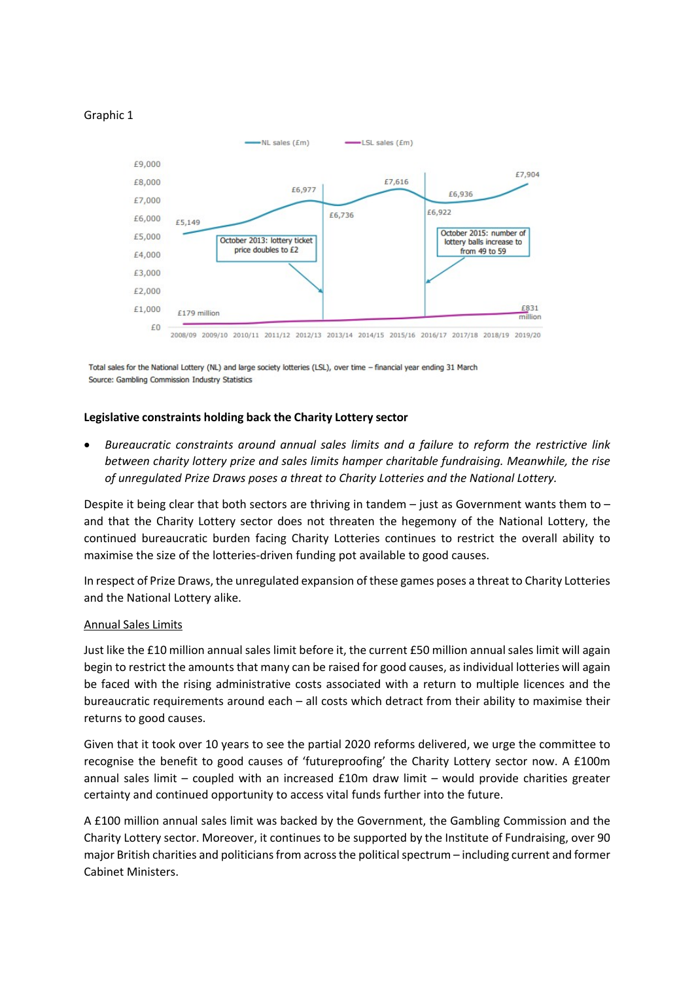



Total sales for the National Lottery (NL) and large society lotteries (LSL), over time - financial year ending 31 March Source: Gambling Commission Industry Statistics

#### **Legislative constraints holding back the Charity Lottery sector**

 *Bureaucratic constraints around annual sales limits and a failure to reform the restrictive link between charity lottery prize and sales limits hamper charitable fundraising. Meanwhile, the rise of unregulated Prize Draws poses a threat to Charity Lotteries and the National Lottery.*

Despite it being clear that both sectors are thriving in tandem  $-$  just as Government wants them to  $$ and that the Charity Lottery sector does not threaten the hegemony of the National Lottery, the continued bureaucratic burden facing Charity Lotteries continues to restrict the overall ability to maximise the size of the lotteries-driven funding pot available to good causes.

In respect of Prize Draws, the unregulated expansion of these games poses a threat to Charity Lotteries and the National Lottery alike.

#### Annual Sales Limits

Just like the £10 million annual sales limit before it, the current £50 million annualsales limit will again begin to restrict the amounts that many can be raised for good causes, as individual lotteries will again be faced with the rising administrative costs associated with a return to multiple licences and the bureaucratic requirements around each – all costs which detract from their ability to maximise their returns to good causes.

Given that it took over 10 years to see the partial 2020 reforms delivered, we urge the committee to recognise the benefit to good causes of 'futureproofing' the Charity Lottery sector now. A £100m annual sales limit – coupled with an increased £10m draw limit – would provide charities greater certainty and continued opportunity to access vital funds further into the future.

A £100 million annual sales limit was backed by the Government, the Gambling Commission and the Charity Lottery sector. Moreover, it continues to be supported by the Institute of Fundraising, over 90 major British charities and politicians from across the political spectrum – including current and former Cabinet Ministers.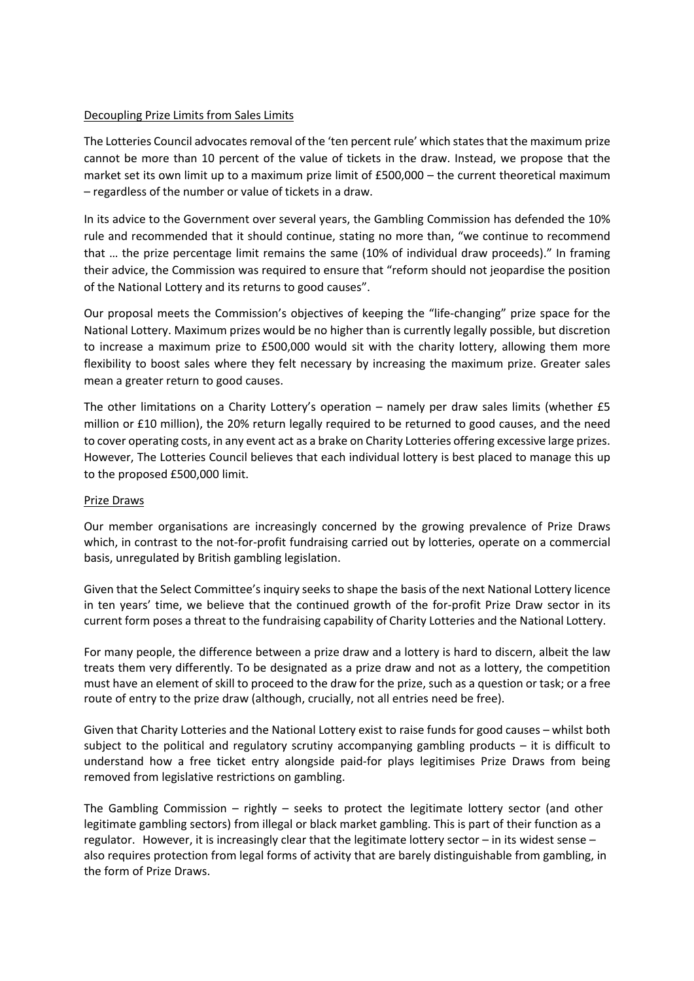## Decoupling Prize Limits from Sales Limits

The Lotteries Council advocates removal of the 'ten percent rule' which states that the maximum prize cannot be more than 10 percent of the value of tickets in the draw. Instead, we propose that the market set its own limit up to a maximum prize limit of £500,000 – the current theoretical maximum – regardless of the number or value of tickets in a draw.

In its advice to the Government over several years, the Gambling Commission has defended the 10% rule and recommended that it should continue, stating no more than, "we continue to recommend that … the prize percentage limit remains the same (10% of individual draw proceeds)." In framing their advice, the Commission was required to ensure that "reform should not jeopardise the position of the National Lottery and its returns to good causes".

Our proposal meets the Commission's objectives of keeping the "life-changing" prize space for the National Lottery. Maximum prizes would be no higher than is currently legally possible, but discretion to increase a maximum prize to £500,000 would sit with the charity lottery, allowing them more flexibility to boost sales where they felt necessary by increasing the maximum prize. Greater sales mean a greater return to good causes.

The other limitations on a Charity Lottery's operation – namely per draw sales limits (whether £5 million or £10 million), the 20% return legally required to be returned to good causes, and the need to cover operating costs, in any event act as a brake on Charity Lotteries offering excessive large prizes. However, The Lotteries Council believes that each individual lottery is best placed to manage this up to the proposed £500,000 limit.

#### Prize Draws

Our member organisations are increasingly concerned by the growing prevalence of Prize Draws which, in contrast to the not-for-profit fundraising carried out by lotteries, operate on a commercial basis, unregulated by British gambling legislation.

Given that the Select Committee's inquiry seeks to shape the basis of the next National Lottery licence in ten years' time, we believe that the continued growth of the for-profit Prize Draw sector in its current form poses a threat to the fundraising capability of Charity Lotteries and the National Lottery.

For many people, the difference between a prize draw and a lottery is hard to discern, albeit the law treats them very differently. To be designated as a prize draw and not as a lottery, the competition must have an element of skill to proceed to the draw for the prize, such as a question or task; or a free route of entry to the prize draw (although, crucially, not all entries need be free).

Given that Charity Lotteries and the National Lottery exist to raise funds for good causes – whilst both subject to the political and regulatory scrutiny accompanying gambling products  $-$  it is difficult to understand how a free ticket entry alongside paid-for plays legitimises Prize Draws from being removed from legislative restrictions on gambling.

The Gambling Commission – rightly – seeks to protect the legitimate lottery sector (and other legitimate gambling sectors) from illegal or black market gambling. This is part of their function as a regulator. However, it is increasingly clear that the legitimate lottery sector – in its widest sense – also requires protection from legal forms of activity that are barely distinguishable from gambling, in the form of Prize Draws.